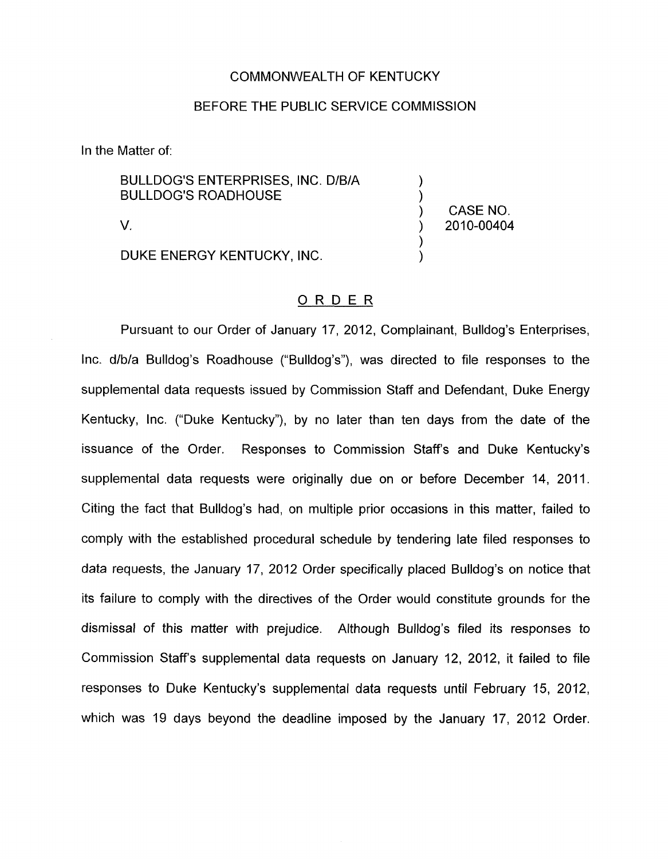## COMMONWEALTH OF KENTUCKY

## BEFORE THE PUBLIC SERVICE COMMISSION

In the Matter of:

BULLDOG'S ENTERPRISES, INC. D/B/A ) **BULLDOG'S ROADHOUSE** 

DUKE ENERGY KENTUCKY, INC.

CASE NO. V. ) 2010-00404

)

## ORDER

Pursuant to our Order of January 17, 2012, Complainant, Bulldog's Enterprises, Inc. d/b/a Bulldog's Roadhouse ("Bulldog's"), was directed to file responses to the supplemental data requests issued by Commission Staff and Defendant, Duke Energy Kentucky, Inc. ("Duke Kentucky"), by no later than ten days from the date of the issuance of the Order. Responses to Commission Staffs and Duke Kentucky's supplemental data requests were originally due on or before December 14, 2011. Citing the fact that Bulldog's had, on multiple prior occasions in this matter, failed to comply with the established procedural schedule by tendering late filed responses to data requests, the January 17, 2012 Order specifically placed Bulldog's on notice that its failure to comply with the directives of the Order would constitute grounds for the dismissal of this matter with prejudice. Although Bulldog's filed its responses to Commission Staff's supplemental data requests on January 12, 2012, it failed to file responses to Duke Kentucky's supplemental data requests until February 15, 2012, which was 19 days beyond the deadline imposed by the January 17, 2012 Order.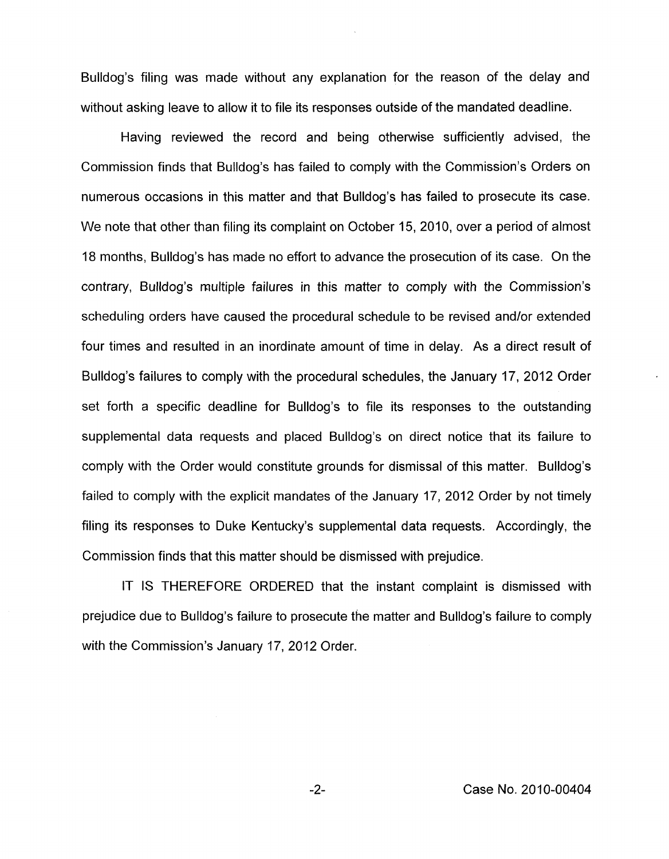Bulldog's filing was made without any explanation for the reason of the delay and without asking leave to allow it to file its responses outside of the mandated deadline.

Having reviewed the record and being otherwise sufficiently advised, the Commission finds that Bulldog's has failed to comply with the Commission's Orders on numerous occasions in this matter and that Bulldog's has failed to prosecute its case. We note that other than filing its complaint on October 15, 2010, over a period of almost 18 months, Bulldog's has made no effort to advance the prosecution of its case. On the contrary, Bulldog's multiple failures in this matter to comply with the Commission's scheduling orders have caused the procedural schedule to be revised and/or extended four times and resulted in an inordinate amount of time in delay. As a direct result of Bulldog's failures to comply with the procedural schedules, the January 17, 2012 Order set forth a specific deadline for Bulldog's to file its responses to the outstanding supplemental data requests and placed Bulldog's on direct notice that its failure to comply with the Order would constitute grounds for dismissal of this matter. Bulldog's failed to comply with the explicit mandates of the January 17, 2012 Order by not timely filing its responses to Duke Kentucky's supplemental data requests. Accordingly, the Commission finds that this matter should be dismissed with prejudice.

IT IS THEREFORE ORDERED that the instant complaint is dismissed with prejudice due to Bulldog's failure to prosecute the matter and Bulldog's failure to comply with the Commission's January 17, 2012 Order.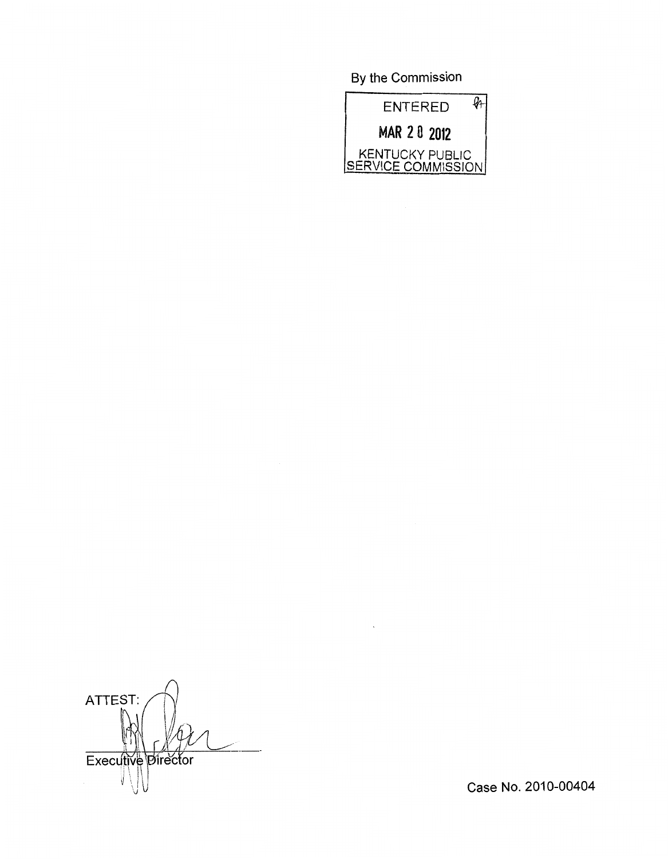By the Commission



ATTEST: Executive Director

Case No. 2010-00404